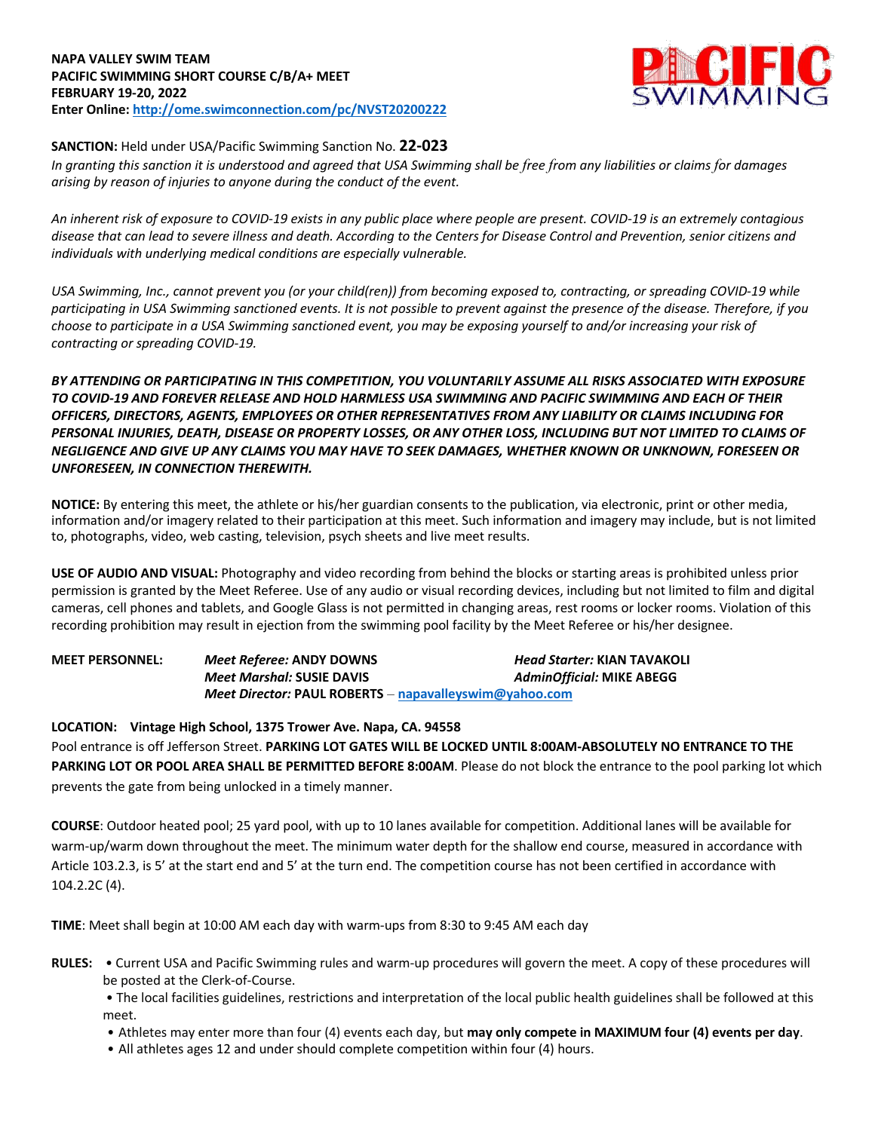## **NAPA VALLEY SWIM TEAM PACIFIC SWIMMING SHORT COURSE C/B/A+ MEET FEBRUARY 19-20, 2022 Enter Online: http://ome.swimconnection.com/pc/NVST20200222**



# **SANCTION:** Held under USA/Pacific Swimming Sanction No. **22-023**

*In granting this sanction it is understood and agreed that USA Swimming shall be free from any liabilities or claims for damages arising by reason of injuries to anyone during the conduct of the event.*

*An inherent risk of exposure to COVID-19 exists in any public place where people are present. COVID-19 is an extremely contagious disease that can lead to severe illness and death. According to the Centers for Disease Control and Prevention, senior citizens and individuals with underlying medical conditions are especially vulnerable.*

*USA Swimming, Inc., cannot prevent you (or your child(ren)) from becoming exposed to, contracting, or spreading COVID-19 while participating in USA Swimming sanctioned events. It is not possible to prevent against the presence of the disease. Therefore, if you choose to participate in a USA Swimming sanctioned event, you may be exposing yourself to and/or increasing your risk of contracting or spreading COVID-19.*

*BY ATTENDING OR PARTICIPATING IN THIS COMPETITION, YOU VOLUNTARILY ASSUME ALL RISKS ASSOCIATED WITH EXPOSURE TO COVID-19 AND FOREVER RELEASE AND HOLD HARMLESS USA SWIMMING AND PACIFIC SWIMMING AND EACH OF THEIR OFFICERS, DIRECTORS, AGENTS, EMPLOYEES OR OTHER REPRESENTATIVES FROM ANY LIABILITY OR CLAIMS INCLUDING FOR PERSONAL INJURIES, DEATH, DISEASE OR PROPERTY LOSSES, OR ANY OTHER LOSS, INCLUDING BUT NOT LIMITED TO CLAIMS OF NEGLIGENCE AND GIVE UP ANY CLAIMS YOU MAY HAVE TO SEEK DAMAGES, WHETHER KNOWN OR UNKNOWN, FORESEEN OR UNFORESEEN, IN CONNECTION THEREWITH.*

**NOTICE:** By entering this meet, the athlete or his/her guardian consents to the publication, via electronic, print or other media, information and/or imagery related to their participation at this meet. Such information and imagery may include, but is not limited to, photographs, video, web casting, television, psych sheets and live meet results.

**USE OF AUDIO AND VISUAL:** Photography and video recording from behind the blocks or starting areas is prohibited unless prior permission is granted by the Meet Referee. Use of any audio or visual recording devices, including but not limited to film and digital cameras, cell phones and tablets, and Google Glass is not permitted in changing areas, rest rooms or locker rooms. Violation of this recording prohibition may result in ejection from the swimming pool facility by the Meet Referee or his/her designee.

**MEET PERSONNEL:** *Meet Referee:* **ANDY DOWNS** *Head Starter:* **KIAN TAVAKOLI** *Meet Marshal:* **SUSIE DAVIS** *AdminOfficial:* **MIKE ABEGG** *Meet Director:* **PAUL ROBERTS** – **napavalleyswim@yahoo.com** 

**LOCATION: Vintage High School, 1375 Trower Ave. Napa, CA. 94558** Pool entrance is off Jefferson Street. **PARKING LOT GATES WILL BE LOCKED UNTIL 8:00AM-ABSOLUTELY NO ENTRANCE TO THE PARKING LOT OR POOL AREA SHALL BE PERMITTED BEFORE 8:00AM**. Please do not block the entrance to the pool parking lot which prevents the gate from being unlocked in a timely manner.

**COURSE**: Outdoor heated pool; 25 yard pool, with up to 10 lanes available for competition. Additional lanes will be available for warm-up/warm down throughout the meet. The minimum water depth for the shallow end course, measured in accordance with Article 103.2.3, is 5' at the start end and 5' at the turn end. The competition course has not been certified in accordance with 104.2.2C (4).

**TIME**: Meet shall begin at 10:00 AM each day with warm-ups from 8:30 to 9:45 AM each day

**RULES:** • Current USA and Pacific Swimming rules and warm-up procedures will govern the meet. A copy of these procedures will be posted at the Clerk-of-Course.

• The local facilities guidelines, restrictions and interpretation of the local public health guidelines shall be followed at this meet.

- Athletes may enter more than four (4) events each day, but **may only compete in MAXIMUM four (4) events per day**.
- All athletes ages 12 and under should complete competition within four (4) hours.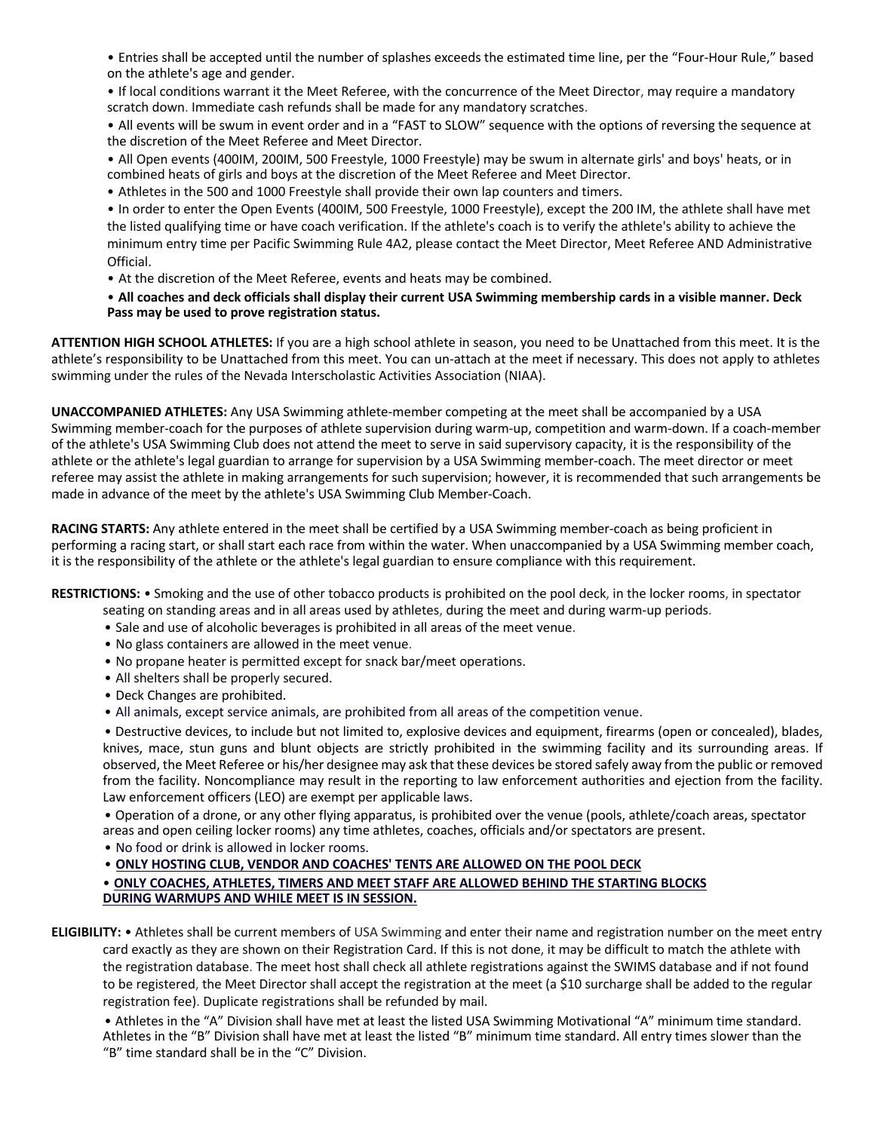• Entries shall be accepted until the number of splashes exceeds the estimated time line, per the "Four-Hour Rule," based on the athlete's age and gender.

• If local conditions warrant it the Meet Referee, with the concurrence of the Meet Director, may require a mandatory scratch down. Immediate cash refunds shall be made for any mandatory scratches.

• All events will be swum in event order and in a "FAST to SLOW" sequence with the options of reversing the sequence at the discretion of the Meet Referee and Meet Director.

• All Open events (400IM, 200IM, 500 Freestyle, 1000 Freestyle) may be swum in alternate girls' and boys' heats, or in combined heats of girls and boys at the discretion of the Meet Referee and Meet Director.

• Athletes in the 500 and 1000 Freestyle shall provide their own lap counters and timers.

• In order to enter the Open Events (400IM, 500 Freestyle, 1000 Freestyle), except the 200 IM, the athlete shall have met the listed qualifying time or have coach verification. If the athlete's coach is to verify the athlete's ability to achieve the minimum entry time per Pacific Swimming Rule 4A2, please contact the Meet Director, Meet Referee AND Administrative Official.

• At the discretion of the Meet Referee, events and heats may be combined.

• **All coaches and deck officials shall display their current USA Swimming membership cards in a visible manner. Deck Pass may be used to prove registration status.**

**ATTENTION HIGH SCHOOL ATHLETES:** If you are a high school athlete in season, you need to be Unattached from this meet. It is the athlete's responsibility to be Unattached from this meet. You can un-attach at the meet if necessary. This does not apply to athletes swimming under the rules of the Nevada Interscholastic Activities Association (NIAA).

**UNACCOMPANIED ATHLETES:** Any USA Swimming athlete-member competing at the meet shall be accompanied by a USA Swimming member-coach for the purposes of athlete supervision during warm-up, competition and warm-down. If a coach-member of the athlete's USA Swimming Club does not attend the meet to serve in said supervisory capacity, it is the responsibility of the athlete or the athlete's legal guardian to arrange for supervision by a USA Swimming member-coach. The meet director or meet referee may assist the athlete in making arrangements for such supervision; however, it is recommended that such arrangements be made in advance of the meet by the athlete's USA Swimming Club Member-Coach.

**RACING STARTS:** Any athlete entered in the meet shall be certified by a USA Swimming member-coach as being proficient in performing a racing start, or shall start each race from within the water. When unaccompanied by a USA Swimming member coach, it is the responsibility of the athlete or the athlete's legal guardian to ensure compliance with this requirement.

**RESTRICTIONS:** • Smoking and the use of other tobacco products is prohibited on the pool deck, in the locker rooms, in spectator

- seating on standing areas and in all areas used by athletes, during the meet and during warm-up periods.
- Sale and use of alcoholic beverages is prohibited in all areas of the meet venue.
- No glass containers are allowed in the meet venue.
- No propane heater is permitted except for snack bar/meet operations.
- All shelters shall be properly secured.
- Deck Changes are prohibited.
- All animals, except service animals, are prohibited from all areas of the competition venue.

• Destructive devices, to include but not limited to, explosive devices and equipment, firearms (open or concealed), blades, knives, mace, stun guns and blunt objects are strictly prohibited in the swimming facility and its surrounding areas. If observed, the Meet Referee or his/her designee may ask that these devices be stored safely away from the public or removed from the facility. Noncompliance may result in the reporting to law enforcement authorities and ejection from the facility. Law enforcement officers (LEO) are exempt per applicable laws.

• Operation of a drone, or any other flying apparatus, is prohibited over the venue (pools, athlete/coach areas, spectator areas and open ceiling locker rooms) any time athletes, coaches, officials and/or spectators are present.

• No food or drink is allowed in locker rooms.

• **ONLY HOSTING CLUB, VENDOR AND COACHES' TENTS ARE ALLOWED ON THE POOL DECK**

• **ONLY COACHES, ATHLETES, TIMERS AND MEET STAFF ARE ALLOWED BEHIND THE STARTING BLOCKS DURING WARMUPS AND WHILE MEET IS IN SESSION.**

**ELIGIBILITY:** • Athletes shall be current members of USA Swimming and enter their name and registration number on the meet entry card exactly as they are shown on their Registration Card. If this is not done, it may be difficult to match the athlete with the registration database. The meet host shall check all athlete registrations against the SWIMS database and if not found to be registered, the Meet Director shall accept the registration at the meet (a \$10 surcharge shall be added to the regular registration fee). Duplicate registrations shall be refunded by mail.

• Athletes in the "A" Division shall have met at least the listed USA Swimming Motivational "A" minimum time standard. Athletes in the "B" Division shall have met at least the listed "B" minimum time standard. All entry times slower than the "B" time standard shall be in the "C" Division.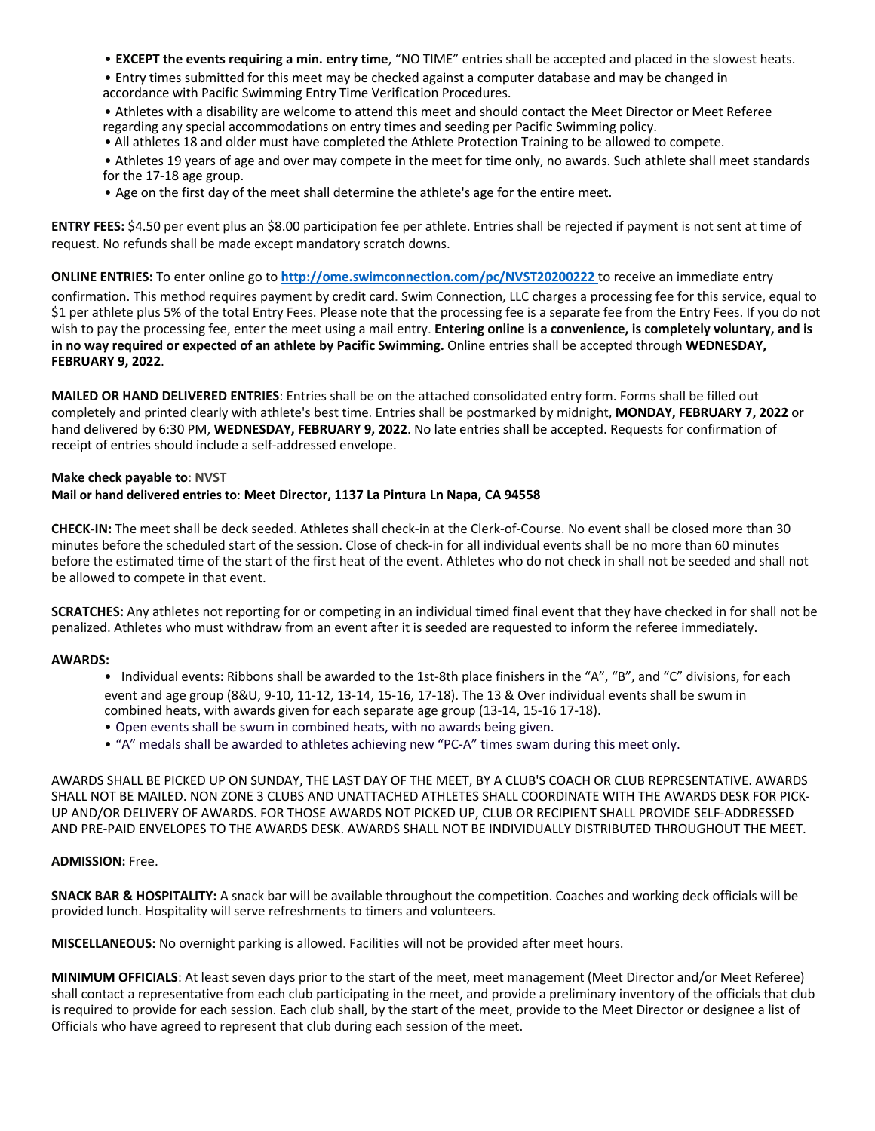• **EXCEPT the events requiring a min. entry time**, "NO TIME" entries shall be accepted and placed in the slowest heats.

• Entry times submitted for this meet may be checked against a computer database and may be changed in accordance with Pacific Swimming Entry Time Verification Procedures.

• Athletes with a disability are welcome to attend this meet and should contact the Meet Director or Meet Referee regarding any special accommodations on entry times and seeding per Pacific Swimming policy.

• All athletes 18 and older must have completed the Athlete Protection Training to be allowed to compete.

• Athletes 19 years of age and over may compete in the meet for time only, no awards. Such athlete shall meet standards for the 17-18 age group.

• Age on the first day of the meet shall determine the athlete's age for the entire meet.

**ENTRY FEES:** \$4.50 per event plus an \$8.00 participation fee per athlete. Entries shall be rejected if payment is not sent at time of request. No refunds shall be made except mandatory scratch downs.

**ONLINE ENTRIES:** To enter online go to **http://ome.swimconnection.com/pc/NVST20200222** to receive an immediate entry

confirmation. This method requires payment by credit card. Swim Connection, LLC charges a processing fee for this service, equal to \$1 per athlete plus 5% of the total Entry Fees. Please note that the processing fee is a separate fee from the Entry Fees. If you do not wish to pay the processing fee, enter the meet using a mail entry. **Entering online is a convenience, is completely voluntary, and is in no way required or expected of an athlete by Pacific Swimming.** Online entries shall be accepted through **WEDNESDAY, FEBRUARY 9, 2022**.

**MAILED OR HAND DELIVERED ENTRIES**: Entries shall be on the attached consolidated entry form. Forms shall be filled out completely and printed clearly with athlete's best time. Entries shall be postmarked by midnight, **MONDAY, FEBRUARY 7, 2022** or hand delivered by 6:30 PM, **WEDNESDAY, FEBRUARY 9, 2022**. No late entries shall be accepted. Requests for confirmation of receipt of entries should include a self-addressed envelope.

## **Make check payable to**: **NVST**

## **Mail or hand delivered entries to**: **Meet Director, 1137 La Pintura Ln Napa, CA 94558**

**CHECK-IN:** The meet shall be deck seeded. Athletes shall check-in at the Clerk-of-Course. No event shall be closed more than 30 minutes before the scheduled start of the session. Close of check-in for all individual events shall be no more than 60 minutes before the estimated time of the start of the first heat of the event. Athletes who do not check in shall not be seeded and shall not be allowed to compete in that event.

**SCRATCHES:** Any athletes not reporting for or competing in an individual timed final event that they have checked in for shall not be penalized. Athletes who must withdraw from an event after it is seeded are requested to inform the referee immediately.

#### **AWARDS:**

- Individual events: Ribbons shall be awarded to the 1st-8th place finishers in the "A", "B", and "C" divisions, for each event and age group (8&U, 9-10, 11-12, 13-14, 15-16, 17-18). The 13 & Over individual events shall be swum in combined heats, with awards given for each separate age group (13-14, 15-16 17-18).
- Open events shall be swum in combined heats, with no awards being given.
- "A" medals shall be awarded to athletes achieving new "PC-A" times swam during this meet only.

AWARDS SHALL BE PICKED UP ON SUNDAY, THE LAST DAY OF THE MEET, BY A CLUB'S COACH OR CLUB REPRESENTATIVE. AWARDS SHALL NOT BE MAILED. NON ZONE 3 CLUBS AND UNATTACHED ATHLETES SHALL COORDINATE WITH THE AWARDS DESK FOR PICK-UP AND/OR DELIVERY OF AWARDS. FOR THOSE AWARDS NOT PICKED UP, CLUB OR RECIPIENT SHALL PROVIDE SELF-ADDRESSED AND PRE-PAID ENVELOPES TO THE AWARDS DESK. AWARDS SHALL NOT BE INDIVIDUALLY DISTRIBUTED THROUGHOUT THE MEET.

#### **ADMISSION:** Free.

**SNACK BAR & HOSPITALITY:** A snack bar will be available throughout the competition. Coaches and working deck officials will be provided lunch. Hospitality will serve refreshments to timers and volunteers.

**MISCELLANEOUS:** No overnight parking is allowed. Facilities will not be provided after meet hours.

**MINIMUM OFFICIALS**: At least seven days prior to the start of the meet, meet management (Meet Director and/or Meet Referee) shall contact a representative from each club participating in the meet, and provide a preliminary inventory of the officials that club is required to provide for each session. Each club shall, by the start of the meet, provide to the Meet Director or designee a list of Officials who have agreed to represent that club during each session of the meet.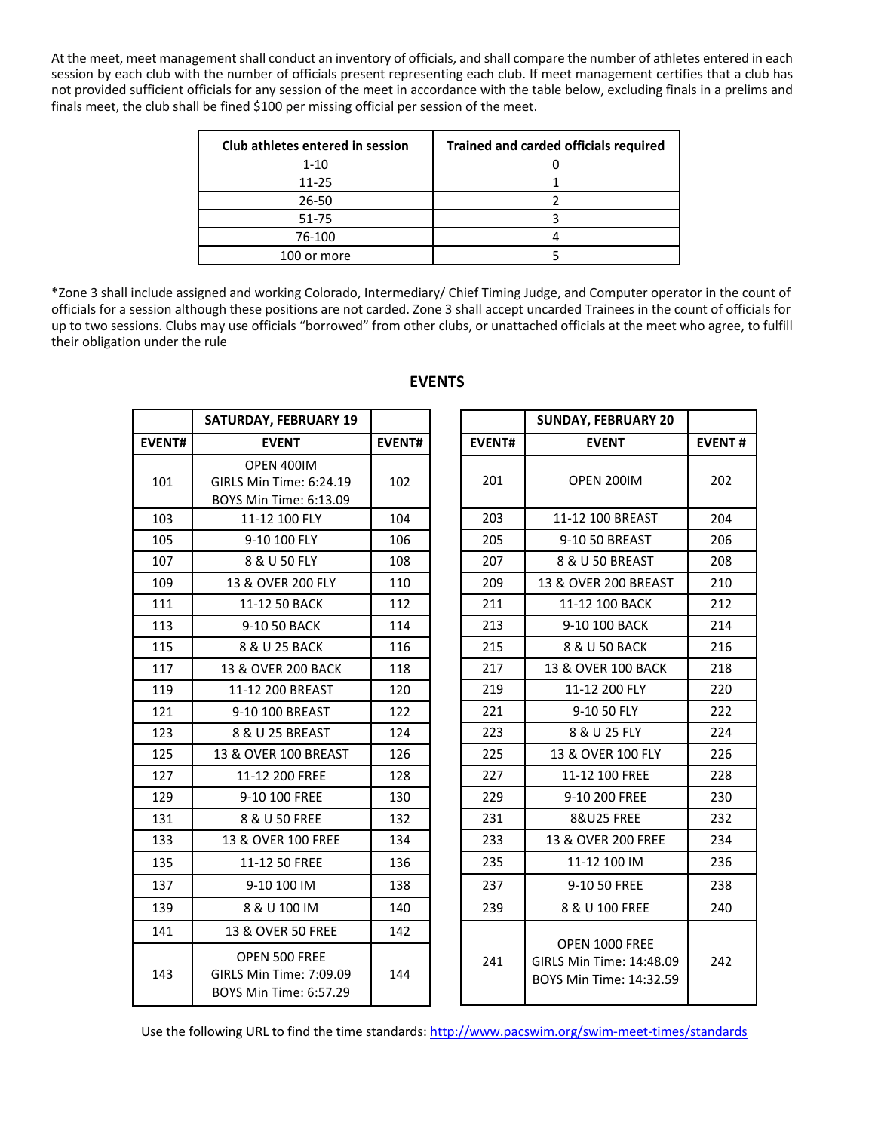At the meet, meet management shall conduct an inventory of officials, and shall compare the number of athletes entered in each session by each club with the number of officials present representing each club. If meet management certifies that a club has not provided sufficient officials for any session of the meet in accordance with the table below, excluding finals in a prelims and finals meet, the club shall be fined \$100 per missing official per session of the meet.

| Club athletes entered in session | Trained and carded officials required |
|----------------------------------|---------------------------------------|
| $1 - 10$                         |                                       |
| $11 - 25$                        |                                       |
| 26-50                            |                                       |
| 51-75                            |                                       |
| 76-100                           |                                       |
| 100 or more                      |                                       |

\*Zone 3 shall include assigned and working Colorado, Intermediary/ Chief Timing Judge, and Computer operator in the count of officials for a session although these positions are not carded. Zone 3 shall accept uncarded Trainees in the count of officials for up to two sessions. Clubs may use officials "borrowed" from other clubs, or unattached officials at the meet who agree, to fulfill their obligation under the rule

|                                                                                  | <b>SATURDAY, FEBRUARY 19</b> |               |  |  |
|----------------------------------------------------------------------------------|------------------------------|---------------|--|--|
| <b>EVENT#</b>                                                                    | <b>EVENT</b>                 | <b>EVENT#</b> |  |  |
|                                                                                  | OPEN 400IM                   |               |  |  |
| 101                                                                              | GIRLS Min Time: 6:24.19      | 102           |  |  |
|                                                                                  | BOYS Min Time: 6:13.09       |               |  |  |
| 103                                                                              | 11-12 100 FLY                | 104           |  |  |
| 105                                                                              | 9-10 100 FLY                 | 106           |  |  |
| 107                                                                              | 8 & U 50 FLY                 | 108           |  |  |
| 109                                                                              | 13 & OVER 200 FLY            | 110           |  |  |
| 111                                                                              | 11-12 50 BACK                | 112           |  |  |
| 113                                                                              | 9-10 50 BACK                 | 114           |  |  |
| 115                                                                              | 8 & U 25 BACK                | 116           |  |  |
| 117                                                                              | 13 & OVER 200 BACK           | 118           |  |  |
| 119                                                                              | 11-12 200 BREAST             | 120           |  |  |
| 121                                                                              | 9-10 100 BREAST              | 122           |  |  |
| 123                                                                              | 8 & U 25 BREAST              | 124           |  |  |
| 125                                                                              | 13 & OVER 100 BREAST         | 126           |  |  |
| 127                                                                              | 11-12 200 FREE               | 128           |  |  |
| 129                                                                              | 9-10 100 FREE                |               |  |  |
| 131<br>8 & U 50 FREE                                                             |                              | 132           |  |  |
| 133                                                                              | 13 & OVER 100 FREE           | 134           |  |  |
| 135                                                                              | 11-12 50 FREE                | 136           |  |  |
| 137                                                                              | 9-10 100 IM                  | 138           |  |  |
| 139                                                                              | 8 & U 100 IM                 | 140           |  |  |
| 141                                                                              | 13 & OVER 50 FREE            | 142           |  |  |
| OPEN 500 FREE<br>143<br>GIRLS Min Time: 7:09.09<br><b>BOYS Min Time: 6:57.29</b> |                              | 144           |  |  |

# **EVENTS**

|               | <b>SUNDAY, FEBRUARY 20</b>                                            |               |
|---------------|-----------------------------------------------------------------------|---------------|
| <b>EVENT#</b> | <b>EVENT</b>                                                          | <b>EVENT#</b> |
| 201           | OPEN 200IM                                                            | 202           |
| 203           | 11-12 100 BREAST                                                      | 204           |
| 205           | 9-10 50 BREAST                                                        | 206           |
| 207           | 8 & U 50 BREAST                                                       | 208           |
| 209           | 13 & OVER 200 BREAST                                                  | 210           |
| 211           | 11-12 100 BACK                                                        | 212           |
| 213           | 9-10 100 BACK                                                         | 214           |
| 215           | 8 & U 50 BACK                                                         | 216           |
| 217           | 13 & OVER 100 BACK                                                    | 218           |
| 219           | 11-12 200 FLY                                                         | 220           |
| 221           | 9-10 50 FLY                                                           | 222           |
| 223           | 8 & U 25 FLY                                                          | 224           |
| 225           | 13 & OVER 100 FLY                                                     | 226           |
| 227           | 11-12 100 FREE                                                        | 228           |
| 229           | 9-10 200 FREE                                                         | 230           |
| 231           | <b>8&amp;U25 FREE</b>                                                 | 232           |
| 233           | 13 & OVER 200 FREE                                                    | 234           |
| 235           | 11-12 100 IM                                                          | 236           |
| 237           | 9-10 50 FREE                                                          | 238           |
| 239           | 8 & U 100 FREE                                                        | 240           |
| 241           | OPEN 1000 FREE<br>GIRLS Min Time: 14:48.09<br>BOYS Min Time: 14:32.59 | 242           |

Use the following URL to find the time standards: http://www.pacswim.org/swim-meet-times/standards